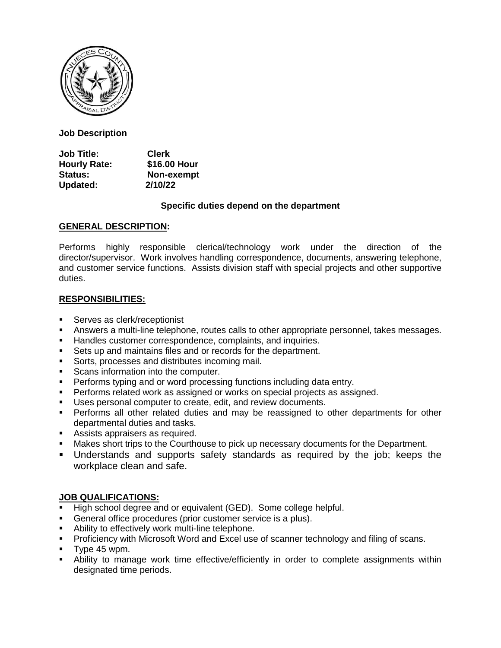

**Job Description**

**Job Title: Clerk Hourly Rate: \$16.00 Hour Status: Non-exempt Updated: 2/10/22**

### **Specific duties depend on the department**

### **GENERAL DESCRIPTION:**

Performs highly responsible clerical/technology work under the direction of the director/supervisor. Work involves handling correspondence, documents, answering telephone, and customer service functions. Assists division staff with special projects and other supportive duties.

# **RESPONSIBILITIES:**

- **Serves as clerk/receptionist**
- Answers a multi-line telephone, routes calls to other appropriate personnel, takes messages.
- **Handles customer correspondence, complaints, and inquiries.**
- **Sets up and maintains files and or records for the department.**
- **Sorts, processes and distributes incoming mail.**
- Scans information into the computer.
- Performs typing and or word processing functions including data entry.
- **Performs related work as assigned or works on special projects as assigned.**
- Uses personal computer to create, edit, and review documents.
- Performs all other related duties and may be reassigned to other departments for other departmental duties and tasks.
- Assists appraisers as required.
- Makes short trips to the Courthouse to pick up necessary documents for the Department.
- Understands and supports safety standards as required by the job; keeps the workplace clean and safe.

# **JOB QUALIFICATIONS:**

- High school degree and or equivalent (GED). Some college helpful.
- General office procedures (prior customer service is a plus).
- **EXECT** Ability to effectively work multi-line telephone.
- **Proficiency with Microsoft Word and Excel use of scanner technology and filing of scans.**
- Type 45 wpm.
- Ability to manage work time effective/efficiently in order to complete assignments within designated time periods.